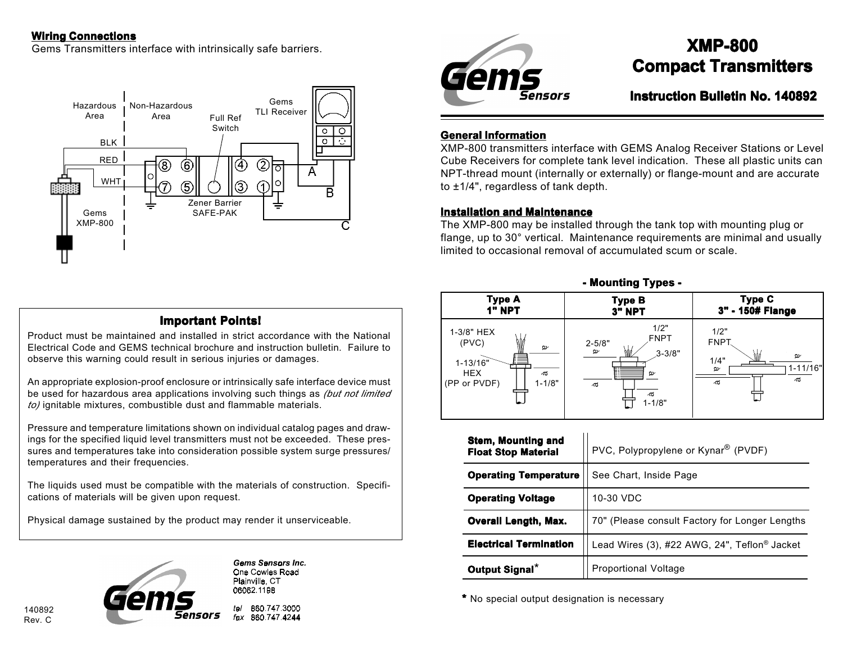### **Wiring Connections**

Gems Transmitters interface with intrinsically safe barriers.



# **Important Points! Important Points!**

Product must be maintained and installed in strict accordance with the National Electrical Code and GEMS technical brochure and instruction bulletin. Failure to observe this warning could result in serious injuries or damages.

An appropriate explosion-proof enclosure or intrinsically safe interface device must be used for hazardous area applications involving such things as *(but not limited to)* ignitable mixtures, combustible dust and flammable materials.

Pressure and temperature limitations shown on individual catalog pages and drawings for the specified liquid level transmitters must not be exceeded. These pressures and temperatures take into consideration possible system surge pressures/ temperatures and their frequencies.

The liquids used must be compatible with the materials of construction. Specifications of materials will be given upon request.

Physical damage sustained by the product may render it unserviceable.



140892 Rev. C

**Gems Sensors Inc.** One Cowles Road Plainville, CT 06062.1198

t-I

860 747 3000 fax 860.747.4244



# **XMP-800 Compact Transmitters**

**Instruction Bulletin No. 140892**

#### **General Information**

XMP-800 transmitters interface with GEMS Analog Receiver Stations or Level Cube Receivers for complete tank level indication. These all plastic units can NPT-thread mount (internally or externally) or flange-mount and are accurate to ±1/4", regardless of tank depth.

#### **Installation and Maintenance**

The XMP-800 may be installed through the tank top with mounting plug or flange, up to 30° vertical. Maintenance requirements are minimal and usually limited to occasional removal of accumulated scum or scale.

**- Mounting Types - -** 



| <b>Stem, Mounting and</b><br><b>Float Stop Material</b> | PVC, Polypropylene or Kynar® (PVDF)            |
|---------------------------------------------------------|------------------------------------------------|
| <b>Operating Temperature</b>                            | See Chart, Inside Page                         |
| <b>Operating Voltage</b>                                | 10-30 VDC                                      |
| <b>Overall Length, Max.</b>                             | 70" (Please consult Factory for Longer Lengths |
| <b>Electrical Termination</b>                           | Lead Wires (3), #22 AWG, 24", Teflon® Jacket   |
| Output Signal*                                          | <b>Proportional Voltage</b>                    |

**\*** No special output designation is necessary